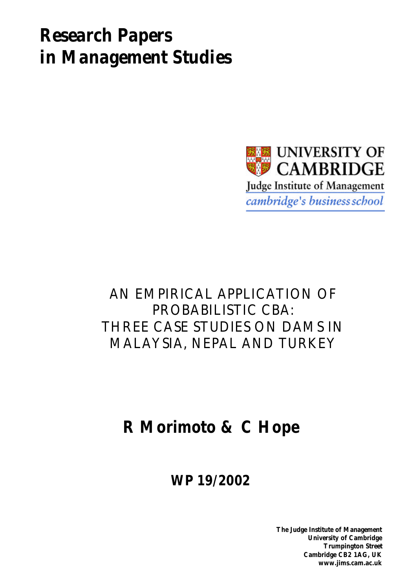# *Research Papers in Management Studies*



# AN EMPIRICAL APPLICATION OF PROBABILISTIC CBA: THREE CASE STUDIES ON DAMS IN MALAYSIA, NEPAL AND TURKEY

# **R Morimoto & C Hope**

**WP 19/2002**

**The Judge Institute of Management University of Cambridge Trumpington Street Cambridge CB2 1AG, UK www.jims.cam.ac.uk**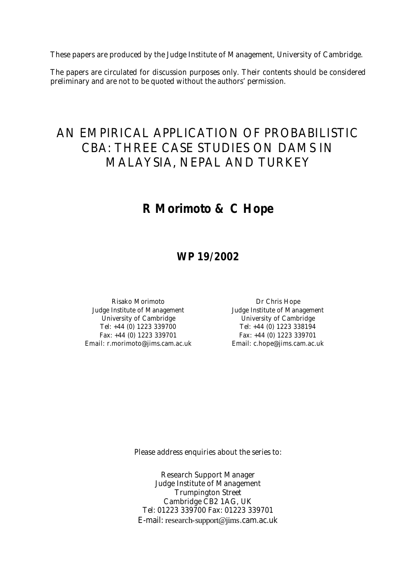These papers are produced by the Judge Institute of Management, University of Cambridge.

The papers are circulated for discussion purposes only. Their contents should be considered preliminary and are not to be quoted without the authors' permission.

## AN EMPIRICAL APPLICATION OF PROBABILISTIC CBA: THREE CASE STUDIES ON DAMS IN MALAYSIA, NEPAL AND TURKEY

## **R Morimoto & C Hope**

### **WP 19/2002**

Risako Morimoto **Dr Chris Hope** Judge Institute of Management Judge Institute of Management University of Cambridge University of Cambridge Tel: +44 (0) 1223 339700 Tel: +44 (0) 1223 338194 Fax: +44 (0) 1223 339701 Fax: +44 (0) 1223 339701 Email: r.morimoto@jims.cam.ac.uk Email: c.hope@jims.cam.ac.uk

Please address enquiries about the series to:

Research Support Manager Judge Institute of Management Trumpington Street Cambridge CB2 1AG, UK Tel: 01223 339700 Fax: 01223 339701 E-mail: research-support@jims.cam.ac.uk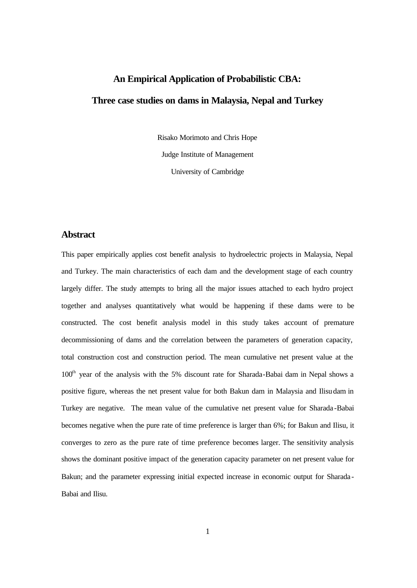## **An Empirical Application of Probabilistic CBA: Three case studies on dams in Malaysia, Nepal and Turkey**

Risako Morimoto and Chris Hope Judge Institute of Management

University of Cambridge

#### **Abstract**

This paper empirically applies cost benefit analysis to hydroelectric projects in Malaysia, Nepal and Turkey. The main characteristics of each dam and the development stage of each country largely differ. The study attempts to bring all the major issues attached to each hydro project together and analyses quantitatively what would be happening if these dams were to be constructed. The cost benefit analysis model in this study takes account of premature decommissioning of dams and the correlation between the parameters of generation capacity, total construction cost and construction period. The mean cumulative net present value at the  $100<sup>th</sup>$  year of the analysis with the 5% discount rate for Sharada-Babai dam in Nepal shows a positive figure, whereas the net present value for both Bakun dam in Malaysia and Ilisu dam in Turkey are negative. The mean value of the cumulative net present value for Sharada -Babai becomes negative when the pure rate of time preference is larger than 6%; for Bakun and Ilisu, it converges to zero as the pure rate of time preference becomes larger. The sensitivity analysis shows the dominant positive impact of the generation capacity parameter on net present value for Bakun; and the parameter expressing initial expected increase in economic output for Sharada - Babai and Ilisu.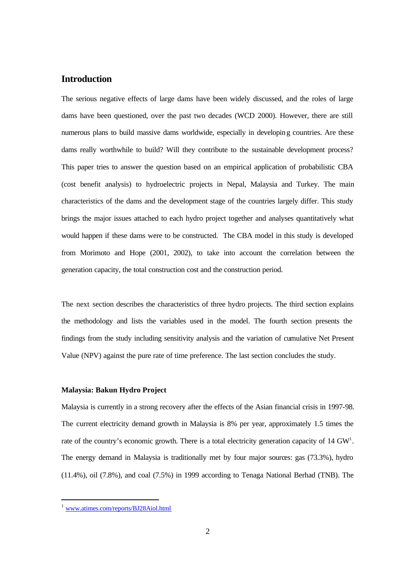#### **Introduction**

The serious negative effects of large dams have been widely discussed, and the roles of large dams have been questioned, over the past two decades (WCD 2000). However, there are still numerous plans to build massive dams worldwide, especially in developing countries. Are these dams really worthwhile to build? Will they contribute to the sustainable development process? This paper tries to answer the question based on an empirical application of probabilistic CBA (cost benefit analysis) to hydroelectric projects in Nepal, Malaysia and Turkey. The main characteristics of the dams and the development stage of the countries largely differ. This study brings the major issues attached to each hydro project together and analyses quantitatively what would happen if these dams were to be constructed. The CBA model in this study is developed from Morimoto and Hope (2001, 2002), to take into account the correlation between the generation capacity, the total construction cost and the construction period.

The next section describes the characteristics of three hydro projects. The third section explains the methodology and lists the variables used in the model. The fourth section presents the findings from the study including sensitivity analysis and the variation of cumulative Net Present Value (NPV) against the pure rate of time preference. The last section concludes the study.

#### **Malaysia: Bakun Hydro Project**

Malaysia is currently in a strong recovery after the effects of the Asian financial crisis in 1997-98. The current electricity demand growth in Malaysia is 8% per year, approximately 1.5 times the rate of the country's economic growth. There is a total electricity generation capacity of 14 GW<sup>1</sup>. The energy demand in Malaysia is traditionally met by four major sources: gas (73.3%), hydro (11.4%), oil (7.8%), and coal (7.5%) in 1999 according to Tenaga National Berhad (TNB). The

www.atimes.com/reports/BJ28Aiol.html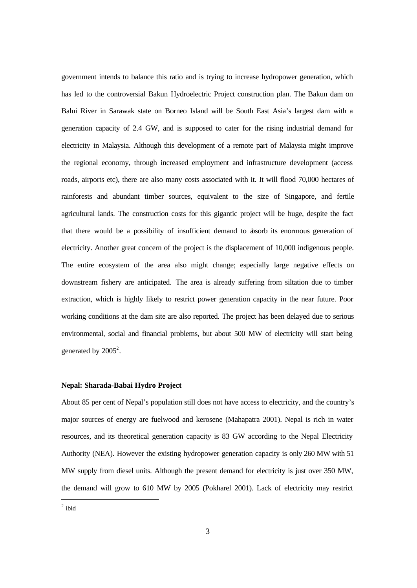government intends to balance this ratio and is trying to increase hydropower generation, which has led to the controversial Bakun Hydroelectric Project construction plan. The Bakun dam on Balui River in Sarawak state on Borneo Island will be South East Asia's largest dam with a generation capacity of 2.4 GW, and is supposed to cater for the rising industrial demand for electricity in Malaysia. Although this development of a remote part of Malaysia might improve the regional economy, through increased employment and infrastructure development (access roads, airports etc), there are also many costs associated with it. It will flood 70,000 hectares of rainforests and abundant timber sources, equivalent to the size of Singapore, and fertile agricultural lands. The construction costs for this gigantic project will be huge, despite the fact that there would be a possibility of insufficient demand to absorb its enormous generation of electricity. Another great concern of the project is the displacement of 10,000 indigenous people. The entire ecosystem of the area also might change; especially large negative effects on downstream fishery are anticipated. The area is already suffering from siltation due to timber extraction, which is highly likely to restrict power generation capacity in the near future. Poor working conditions at the dam site are also reported. The project has been delayed due to serious environmental, social and financial problems, but about 500 MW of electricity will start being generated by  $2005^2$ .

#### **Nepal: Sharada-Babai Hydro Project**

About 85 per cent of Nepal's population still does not have access to electricity, and the country's major sources of energy are fuelwood and kerosene (Mahapatra 2001). Nepal is rich in water resources, and its theoretical generation capacity is 83 GW according to the Nepal Electricity Authority (NEA). However the existing hydropower generation capacity is only 260 MW with 51 MW supply from diesel units. Although the present demand for electricity is just over 350 MW, the demand will grow to 610 MW by 2005 (Pokharel 2001). Lack of electricity may restrict

 $2$  ibid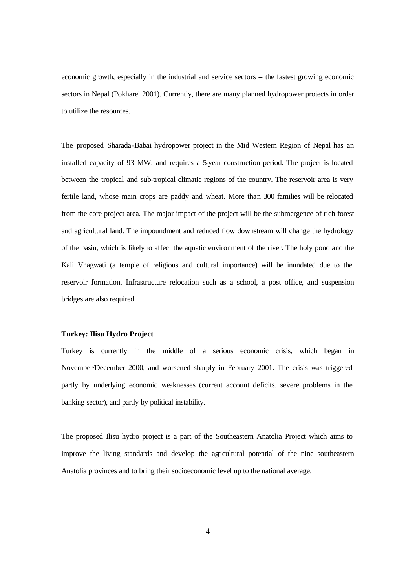economic growth, especially in the industrial and service sectors – the fastest growing economic sectors in Nepal (Pokharel 2001). Currently, there are many planned hydropower projects in order to utilize the resources.

The proposed Sharada-Babai hydropower project in the Mid Western Region of Nepal has an installed capacity of 93 MW, and requires a 5-year construction period. The project is located between the tropical and sub-tropical climatic regions of the country. The reservoir area is very fertile land, whose main crops are paddy and wheat. More than 300 families will be relocated from the core project area. The major impact of the project will be the submergence of rich forest and agricultural land. The impoundment and reduced flow downstream will change the hydrology of the basin, which is likely to affect the aquatic environment of the river. The holy pond and the Kali Vhagwati (a temple of religious and cultural importance) will be inundated due to the reservoir formation. Infrastructure relocation such as a school, a post office, and suspension bridges are also required.

#### **Turkey: Ilisu Hydro Project**

Turkey is currently in the middle of a serious economic crisis, which began in November/December 2000, and worsened sharply in February 2001. The crisis was triggered partly by underlying economic weaknesses (current account deficits, severe problems in the banking sector), and partly by political instability.

The proposed Ilisu hydro project is a part of the Southeastern Anatolia Project which aims to improve the living standards and develop the agricultural potential of the nine southeastern Anatolia provinces and to bring their socioeconomic level up to the national average.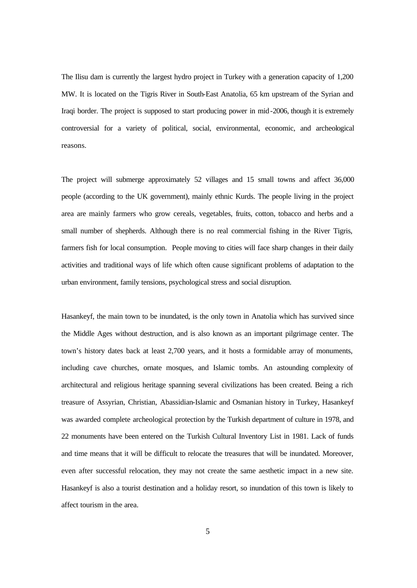The Ilisu dam is currently the largest hydro project in Turkey with a generation capacity of 1,200 MW. It is located on the Tigris River in South-East Anatolia, 65 km upstream of the Syrian and Iraqi border. The project is supposed to start producing power in mid-2006, though it is extremely controversial for a variety of political, social, environmental, economic, and archeological reasons.

The project will submerge approximately 52 villages and 15 small towns and affect 36,000 people (according to the UK government), mainly ethnic Kurds. The people living in the project area are mainly farmers who grow cereals, vegetables, fruits, cotton, tobacco and herbs and a small number of shepherds. Although there is no real commercial fishing in the River Tigris, farmers fish for local consumption. People moving to cities will face sharp changes in their daily activities and traditional ways of life which often cause significant problems of adaptation to the urban environment, family tensions, psychological stress and social disruption.

Hasankeyf, the main town to be inundated, is the only town in Anatolia which has survived since the Middle Ages without destruction, and is also known as an important pilgrimage center. The town's history dates back at least 2,700 years, and it hosts a formidable array of monuments, including cave churches, ornate mosques, and Islamic tombs. An astounding complexity of architectural and religious heritage spanning several civilizations has been created. Being a rich treasure of Assyrian, Christian, Abassidian-Islamic and Osmanian history in Turkey, Hasankeyf was awarded complete archeological protection by the Turkish department of culture in 1978, and 22 monuments have been entered on the Turkish Cultural Inventory List in 1981. Lack of funds and time means that it will be difficult to relocate the treasures that will be inundated. Moreover, even after successful relocation, they may not create the same aesthetic impact in a new site. Hasankeyf is also a tourist destination and a holiday resort, so inundation of this town is likely to affect tourism in the area.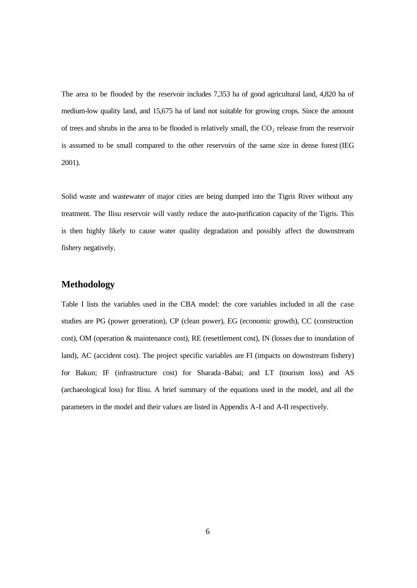The area to be flooded by the reservoir includes 7,353 ha of good agricultural land, 4,820 ha of medium-low quality land, and 15,675 ha of land not suitable for growing crops. Since the amount of trees and shrubs in the area to be flooded is relatively small, the  $CO<sub>2</sub>$  release from the reservoir is assumed to be small compared to the other reservoirs of the same size in dense forest (IEG 2001).

Solid waste and wastewater of major cities are being dumped into the Tigris River without any treatment. The Ilisu reservoir will vastly reduce the auto-purification capacity of the Tigris. This is then highly likely to cause water quality degradation and possibly affect the downstream fishery negatively.

#### **Methodology**

Table I lists the variables used in the CBA model: the core variables included in all the case studies are PG (power generation), CP (clean power), EG (economic growth), CC (construction cost), OM (operation & maintenance cost), RE (resettlement cost), IN (losses due to inundation of land), AC (accident cost). The project specific variables are FI (impacts on downstream fishery) for Bakun; IF (infrastructure cost) for Sharada -Babai; and LT (tourism loss) and AS (archaeological loss) for Ilisu. A brief summary of the equations used in the model, and all the parameters in the model and their values are listed in Appendix A-I and A-II respectively.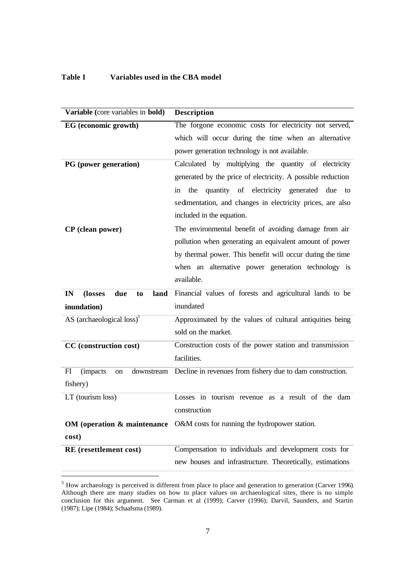#### **Table I Variables used in the CBA model**

| Variable (core variables in bold)                     | <b>Description</b>                                          |
|-------------------------------------------------------|-------------------------------------------------------------|
| EG (economic growth)                                  | The forgone economic costs for electricity not served,      |
|                                                       | which will occur during the time when an alternative        |
|                                                       | power generation technology is not available.               |
| PG (power generation)                                 | Calculated by multiplying the quantity of electricity       |
|                                                       | generated by the price of electricity. A possible reduction |
|                                                       | quantity of electricity generated due<br>the<br>in<br>to    |
|                                                       | sedimentation, and changes in electricity prices, are also  |
|                                                       | included in the equation.                                   |
| CP (clean power)                                      | The environmental benefit of avoiding damage from air       |
|                                                       | pollution when generating an equivalent amount of power     |
|                                                       | by thermal power. This benefit will occur during the time   |
|                                                       | when an alternative power generation technology is          |
|                                                       | available.                                                  |
| IN<br>(losses<br>due<br>land<br>to                    | Financial values of forests and agricultural lands to be    |
| inundation)                                           | inundated                                                   |
| AS (archaeological loss) <sup>3</sup>                 | Approximated by the values of cultural antiquities being    |
|                                                       | sold on the market.                                         |
|                                                       |                                                             |
| CC (construction cost)                                | Construction costs of the power station and transmission    |
|                                                       | facilities.                                                 |
| FI<br><i>(impacts)</i><br>downstream<br><sub>on</sub> | Decline in revenues from fishery due to dam construction.   |
| fishery)                                              |                                                             |
| LT (tourism loss)                                     | Losses in tourism revenue as a result of the dam            |
|                                                       | construction                                                |
| OM (operation & maintenance                           | O&M costs for running the hydropower station.               |
| cost)                                                 |                                                             |
| RE (resettlement cost)                                | Compensation to individuals and development costs for       |

 $3$  How archaeology is perceived is different from place to place and generation to generation (Carver 1996). Although there are many studies on how to place values on archaeological sites, there is no simple conclusion for this argument. See Carman et al (1999); Carver (1996); Darvil, Saunders, and Startin (1987); Lipe (1984); Schaafsma (1989).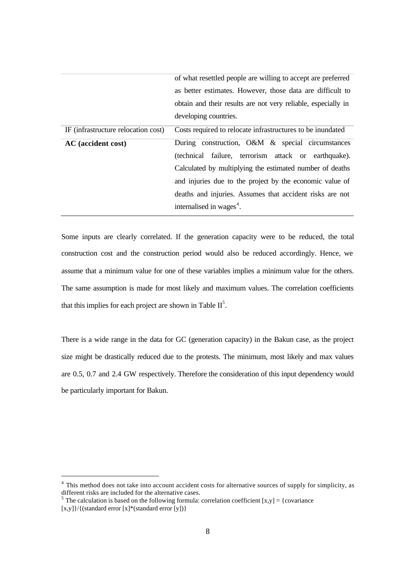|                                     | of what resettled people are willing to accept are preferred  |
|-------------------------------------|---------------------------------------------------------------|
|                                     | as better estimates. However, those data are difficult to     |
|                                     | obtain and their results are not very reliable, especially in |
|                                     | developing countries.                                         |
| IF (infrastructure relocation cost) | Costs required to relocate infrastructures to be inundated    |
| AC (accident cost)                  | During construction, O&M & special circumstances              |
|                                     | (technical failure, terrorism attack or earthquake).          |
|                                     | Calculated by multiplying the estimated number of deaths      |
|                                     | and injuries due to the project by the economic value of      |
|                                     | deaths and injuries. Assumes that accident risks are not      |
|                                     | internalised in wages <sup>4</sup> .                          |

Some inputs are clearly correlated. If the generation capacity were to be reduced, the total construction cost and the construction period would also be reduced accordingly. Hence, we assume that a minimum value for one of these variables implies a minimum value for the others. The same assumption is made for most likely and maximum values. The correlation coefficients that this implies for each project are shown in Table  $II^5$ .

There is a wide range in the data for GC (generation capacity) in the Bakun case, as the project size might be drastically reduced due to the protests. The minimum, most likely and max values are 0.5, 0.7 and 2.4 GW respectively. Therefore the consideration of this input dependency would be particularly important for Bakun.

<sup>&</sup>lt;sup>4</sup> This method does not take into account accident costs for alternative sources of supply for simplicity, as different risks are included for the alternative cases.

<sup>&</sup>lt;sup>5</sup> The calculation is based on the following formula: correlation coefficient  $[x,y] = \{covariance$ 

 $[x,y]$  / {(standard error  $[x]^*($ standard error  $[y])$ }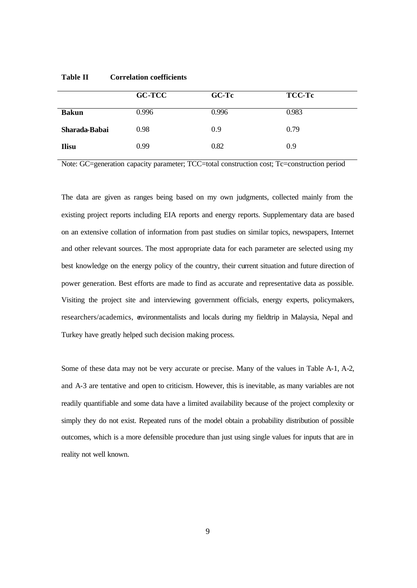|               | <b>GC-TCC</b> | <b>GC-Tc</b> | <b>TCC-Tc</b> |
|---------------|---------------|--------------|---------------|
| <b>Bakun</b>  | 0.996         | 0.996        | 0.983         |
| Sharada-Babai | 0.98          | 0.9          | 0.79          |
| <b>Ilisu</b>  | 0.99          | 0.82         | 0.9           |

Note: GC=generation capacity parameter; TCC=total construction cost; Tc=construction period

The data are given as ranges being based on my own judgments, collected mainly from the existing project reports including EIA reports and energy reports. Supplementary data are based on an extensive collation of information from past studies on similar topics, newspapers, Internet and other relevant sources. The most appropriate data for each parameter are selected using my best knowledge on the energy policy of the country, their current situation and future direction of power generation. Best efforts are made to find as accurate and representative data as possible. Visiting the project site and interviewing government officials, energy experts, policymakers, researchers/academics, environmentalists and locals during my fieldtrip in Malaysia, Nepal and Turkey have greatly helped such decision making process.

Some of these data may not be very accurate or precise. Many of the values in Table A-1, A-2, and A-3 are tentative and open to criticism. However, this is inevitable, as many variables are not readily quantifiable and some data have a limited availability because of the project complexity or simply they do not exist. Repeated runs of the model obtain a probability distribution of possible outcomes, which is a more defensible procedure than just using single values for inputs that are in reality not well known.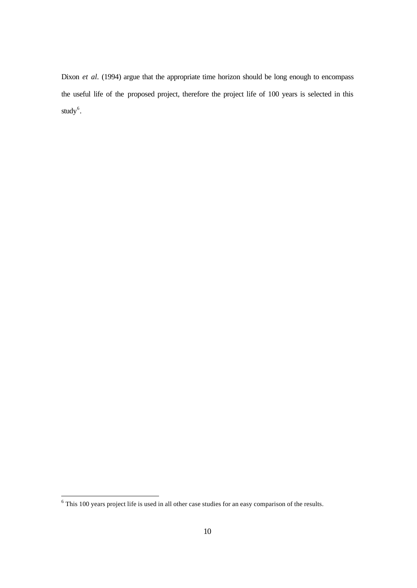Dixon *et al.* (1994) argue that the appropriate time horizon should be long enough to encompass the useful life of the proposed project, therefore the project life of 100 years is selected in this study $^6$ .

 6 This 100 years project life is used in all other case studies for an easy comparison of the results.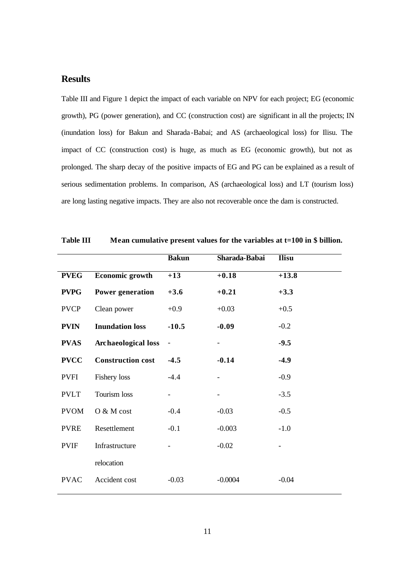#### **Results**

Table III and Figure 1 depict the impact of each variable on NPV for each project; EG (economic growth), PG (power generation), and CC (construction cost) are significant in all the projects; IN (inundation loss) for Bakun and Sharada -Babai; and AS (archaeological loss) for Ilisu. The impact of CC (construction cost) is huge, as much as EG (economic growth), but not as prolonged. The sharp decay of the positive impacts of EG and PG can be explained as a result of serious sedimentation problems. In comparison, AS (archaeological loss) and LT (tourism loss) are long lasting negative impacts. They are also not recoverable once the dam is constructed.

|             |                            | <b>Bakun</b>             | Sharada-Babai            | <b>Ilisu</b> |
|-------------|----------------------------|--------------------------|--------------------------|--------------|
| <b>PVEG</b> | Economic growth            | $+13$                    | $+0.18$                  | $+13.8$      |
| <b>PVPG</b> | Power generation           | $+3.6$                   | $+0.21$                  | $+3.3$       |
| <b>PVCP</b> | Clean power                | $+0.9$                   | $+0.03$                  | $+0.5$       |
| <b>PVIN</b> | <b>Inundation loss</b>     | $-10.5$                  | $-0.09$                  | $-0.2$       |
| <b>PVAS</b> | <b>Archaeological loss</b> | $\overline{\phantom{0}}$ | $\qquad \qquad -$        | $-9.5$       |
| <b>PVCC</b> | <b>Construction cost</b>   | $-4.5$                   | $-0.14$                  | $-4.9$       |
| <b>PVFI</b> | Fishery loss               | $-4.4$                   |                          | $-0.9$       |
| <b>PVLT</b> | Tourism loss               |                          | $\overline{\phantom{0}}$ | $-3.5$       |
| <b>PVOM</b> | O & M cost                 | $-0.4$                   | $-0.03$                  | $-0.5$       |
| <b>PVRE</b> | Resettlement               | $-0.1$                   | $-0.003$                 | $-1.0$       |
| <b>PVIF</b> | Infrastructure             |                          | $-0.02$                  |              |
|             | relocation                 |                          |                          |              |
| <b>PVAC</b> | Accident cost              | $-0.03$                  | $-0.0004$                | $-0.04$      |

**Table III Mean cumulative present values for the variables at t=100 in \$ billion.**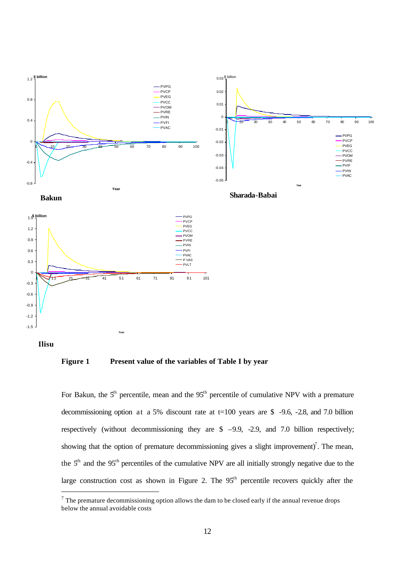

 **Ilisu**

**Figure 1 Present value of the variables of Table I by year**

For Bakun, the  $5<sup>th</sup>$  percentile, mean and the  $95<sup>th</sup>$  percentile of cumulative NPV with a premature decommissioning option at a 5% discount rate at t=100 years are \$ -9.6, -2.8, and 7.0 billion respectively (without decommissioning they are  $$ -9.9, -2.9, and 7.0$  billion respectively; showing that the option of premature decommissioning gives a slight improvement)<sup>7</sup>. The mean, the  $5<sup>th</sup>$  and the 95<sup>th</sup> percentiles of the cumulative NPV are all initially strongly negative due to the large construction cost as shown in Figure 2. The  $95<sup>th</sup>$  percentile recovers quickly after the

 $<sup>7</sup>$  The premature decommissioning option allows the dam to be closed early if the annual revenue drops</sup> below the annual avoidable costs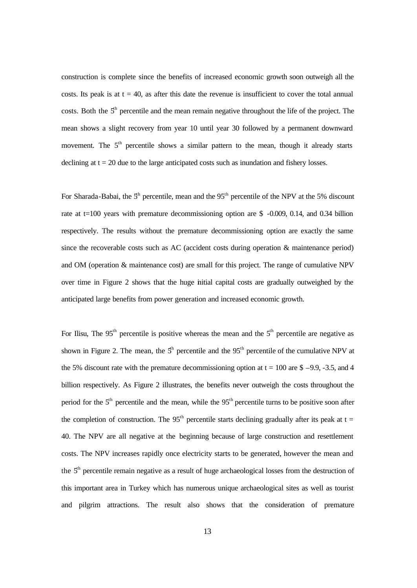construction is complete since the benefits of increased economic growth soon outweigh all the costs. Its peak is at  $t = 40$ , as after this date the revenue is insufficient to cover the total annual costs. Both the  $5<sup>th</sup>$  percentile and the mean remain negative throughout the life of the project. The mean shows a slight recovery from year 10 until year 30 followed by a permanent downward movement. The  $5<sup>th</sup>$  percentile shows a similar pattern to the mean, though it already starts declining at  $t = 20$  due to the large anticipated costs such as inundation and fishery losses.

For Sharada-Babai, the  $5<sup>th</sup>$  percentile, mean and the  $95<sup>th</sup>$  percentile of the NPV at the 5% discount rate at  $t=100$  years with premature decommissioning option are \$ -0.009, 0.14, and 0.34 billion respectively. The results without the premature decommissioning option are exactly the same since the recoverable costs such as AC (accident costs during operation & maintenance period) and OM (operation & maintenance cost) are small for this project. The range of cumulative NPV over time in Figure 2 shows that the huge initial capital costs are gradually outweighed by the anticipated large benefits from power generation and increased economic growth.

For Ilisu, The  $95<sup>th</sup>$  percentile is positive whereas the mean and the  $5<sup>th</sup>$  percentile are negative as shown in Figure 2. The mean, the  $5<sup>th</sup>$  percentile and the 95<sup>th</sup> percentile of the cumulative NPV at the 5% discount rate with the premature decommissioning option at  $t = 100$  are \$ –9.9, -3.5, and 4 billion respectively. As Figure 2 illustrates, the benefits never outweigh the costs throughout the period for the  $5<sup>th</sup>$  percentile and the mean, while the  $95<sup>th</sup>$  percentile turns to be positive soon after the completion of construction. The  $95<sup>th</sup>$  percentile starts declining gradually after its peak at t = 40. The NPV are all negative at the beginning because of large construction and resettlement costs. The NPV increases rapidly once electricity starts to be generated, however the mean and the  $5<sup>th</sup>$  percentile remain negative as a result of huge archaeological losses from the destruction of this important area in Turkey which has numerous unique archaeological sites as well as tourist and pilgrim attractions. The result also shows that the consideration of premature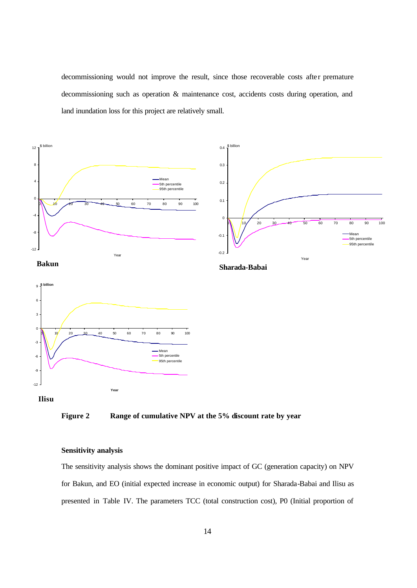decommissioning would not improve the result, since those recoverable costs after premature decommissioning such as operation & maintenance cost, accidents costs during operation, and land inundation loss for this project are relatively small.





#### **Sensitivity analysis**

The sensitivity analysis shows the dominant positive impact of GC (generation capacity) on NPV for Bakun, and EO (initial expected increase in economic output) for Sharada-Babai and Ilisu as presented in Table IV. The parameters TCC (total construction cost), P0 (Initial proportion of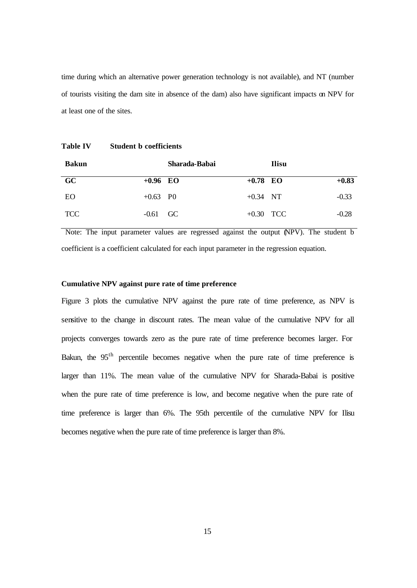time during which an alternative power generation technology is not available), and NT (number of tourists visiting the dam site in absence of the dam) also have significant impacts on NPV for at least one of the sites.

| <b>Bakun</b> |                        | Sharada-Babai |             | Ilisu |         |
|--------------|------------------------|---------------|-------------|-------|---------|
| GC           | $+0.96$ EO             |               | $+0.78$ EO  |       | $+0.83$ |
| EO.          | $+0.63$ P <sub>0</sub> |               | $+0.34$ NT  |       | $-0.33$ |
| <b>TCC</b>   | $-0.61$ GC             |               | $+0.30$ TCC |       | $-0.28$ |

 Note: The input parameter values are regressed against the output (NPV). The student b coefficient is a coefficient calculated for each input parameter in the regression equation.

#### **Cumulative NPV against pure rate of time preference**

Figure 3 plots the cumulative NPV against the pure rate of time preference, as NPV is sensitive to the change in discount rates. The mean value of the cumulative NPV for all projects converges towards zero as the pure rate of time preference becomes larger. For Bakun, the  $95<sup>th</sup>$  percentile becomes negative when the pure rate of time preference is larger than 11%. The mean value of the cumulative NPV for Sharada-Babai is positive when the pure rate of time preference is low, and become negative when the pure rate of time preference is larger than 6%. The 95th percentile of the cumulative NPV for Ilisu becomes negative when the pure rate of time preference is larger than 8%.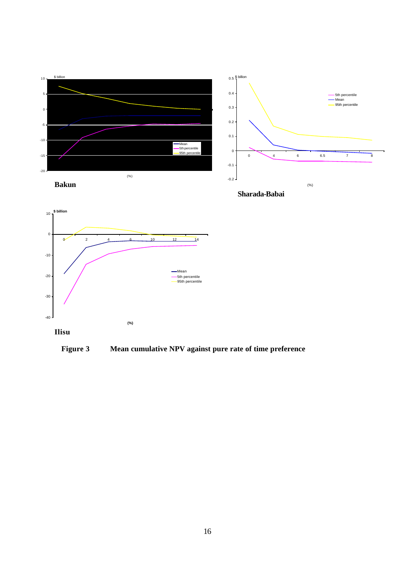



**Figure 3 Mean cumulative NPV against pure rate of time preference**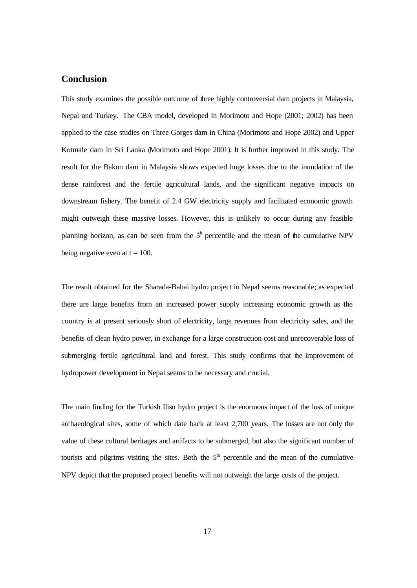#### **Conclusion**

This study examines the possible outcome of three highly controversial dam projects in Malaysia, Nepal and Turkey. The CBA model, developed in Morimoto and Hope (2001; 2002) has been applied to the case studies on Three Gorges dam in China (Morimoto and Hope 2002) and Upper Kotmale dam in Sri Lanka (Morimoto and Hope 2001). It is further improved in this study. The result for the Bakun dam in Malaysia shows expected huge losses due to the inundation of the dense rainforest and the fertile agricultural lands, and the significant negative impacts on downstream fishery. The benefit of 2.4 GW electricity supply and facilitated economic growth might outweigh these massive losses. However, this is unlikely to occur during any feasible planning horizon, as can be seen from the  $5<sup>h</sup>$  percentile and the mean of the cumulative NPV being negative even at  $t = 100$ .

The result obtained for the Sharada-Babai hydro project in Nepal seems reasonable; as expected there are large benefits from an increased power supply increasing economic growth as the country is at present seriously short of electricity, large revenues from electricity sales, and the benefits of clean hydro power, in exchange for a large construction cost and unrecoverable loss of submerging fertile agricultural land and forest. This study confirms that the improvement of hydropower development in Nepal seems to be necessary and crucial.

The main finding for the Turkish Ilisu hydro project is the enormous impact of the loss of unique archaeological sites, some of which date back at least 2,700 years. The losses are not only the value of these cultural heritages and artifacts to be submerged, but also the significant number of tourists and pilgrims visiting the sites. Both the  $5<sup>th</sup>$  percentile and the mean of the cumulative NPV depict that the proposed project benefits will not outweigh the large costs of the project.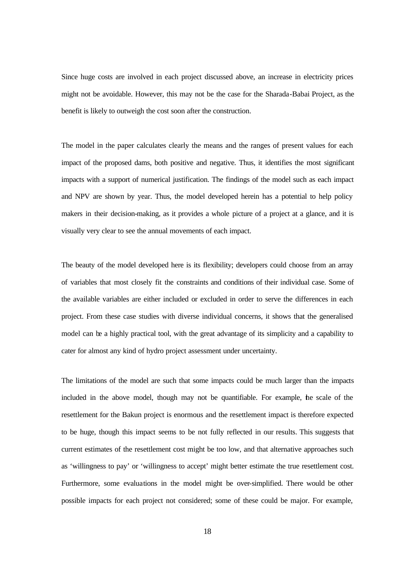Since huge costs are involved in each project discussed above, an increase in electricity prices might not be avoidable. However, this may not be the case for the Sharada-Babai Project, as the benefit is likely to outweigh the cost soon after the construction.

The model in the paper calculates clearly the means and the ranges of present values for each impact of the proposed dams, both positive and negative. Thus, it identifies the most significant impacts with a support of numerical justification. The findings of the model such as each impact and NPV are shown by year. Thus, the model developed herein has a potential to help policy makers in their decision-making, as it provides a whole picture of a project at a glance, and it is visually very clear to see the annual movements of each impact.

The beauty of the model developed here is its flexibility; developers could choose from an array of variables that most closely fit the constraints and conditions of their individual case. Some of the available variables are either included or excluded in order to serve the differences in each project. From these case studies with diverse individual concerns, it shows that the generalised model can be a highly practical tool, with the great advantage of its simplicity and a capability to cater for almost any kind of hydro project assessment under uncertainty.

The limitations of the model are such that some impacts could be much larger than the impacts included in the above model, though may not be quantifiable. For example, the scale of the resettlement for the Bakun project is enormous and the resettlement impact is therefore expected to be huge, though this impact seems to be not fully reflected in our results. This suggests that current estimates of the resettlement cost might be too low, and that alternative approaches such as 'willingness to pay' or 'willingness to accept' might better estimate the true resettlement cost. Furthermore, some evaluations in the model might be over-simplified. There would be other possible impacts for each project not considered; some of these could be major. For example,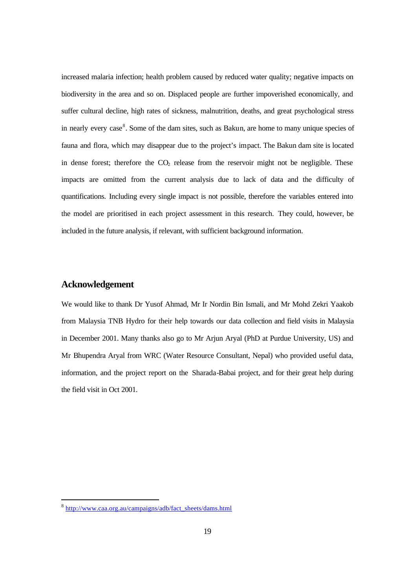increased malaria infection; health problem caused by reduced water quality; negative impacts on biodiversity in the area and so on. Displaced people are further impoverished economically, and suffer cultural decline, high rates of sickness, malnutrition, deaths, and great psychological stress in nearly every case<sup>8</sup>. Some of the dam sites, such as Bakun, are home to many unique species of fauna and flora, which may disappear due to the project's impact. The Bakun dam site is located in dense forest; therefore the  $CO<sub>2</sub>$  release from the reservoir might not be negligible. These impacts are omitted from the current analysis due to lack of data and the difficulty of quantifications. Including every single impact is not possible, therefore the variables entered into the model are prioritised in each project assessment in this research. They could, however, be included in the future analysis, if relevant, with sufficient background information.

#### **Acknowledgement**

We would like to thank Dr Yusof Ahmad, Mr Ir Nordin Bin Ismali, and Mr Mohd Zekri Yaakob from Malaysia TNB Hydro for their help towards our data collection and field visits in Malaysia in December 2001. Many thanks also go to Mr Arjun Aryal (PhD at Purdue University, US) and Mr Bhupendra Aryal from WRC (Water Resource Consultant, Nepal) who provided useful data, information, and the project report on the Sharada-Babai project, and for their great help during the field visit in Oct 2001.

<sup>&</sup>lt;sup>8</sup> http://www.caa.org.au/campaigns/adb/fact\_sheets/dams.html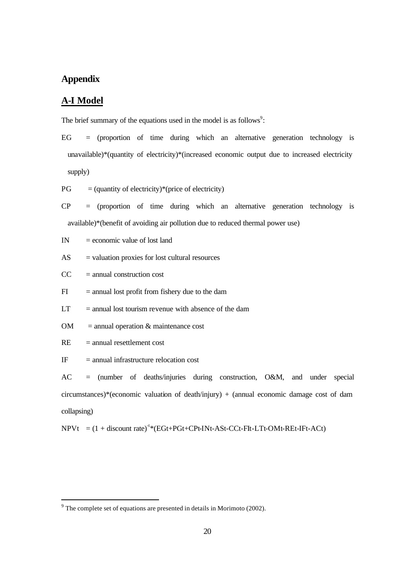#### **Appendix**

#### **A-I Model**

The brief summary of the equations used in the model is as follows $\degree$ :

 $EG =$  (proportion of time during which an alternative generation technology is unavailable)\*(quantity of electricity)\*(increased economic output due to increased electricity supply)

 $PG = (quantity of electricity)*(price of electricity)$ 

 $CP =$  (proportion of time during which an alternative generation technology is available)\*(benefit of avoiding air pollution due to reduced thermal power use)

 $IN = economic value of lost land$ 

 $AS =$  valuation proxies for lost cultural resources

 $CC = annual construction cost$ 

 $FI$  = annual lost profit from fishery due to the dam

 $LT =$  annual lost tourism revenue with absence of the dam

 $OM =$  annual operation  $\&$  maintenance cost

 $RE = annual resettement cost$ 

IF = annual infrastructure relocation cost

AC = (number of deaths/injuries during construction, O&M, and under special circumstances)\*(economic valuation of death/injury) + (annual economic damage cost of dam collapsing)

 $NPVt = (1 + discount rate)^{t} * (EGt + PGt + CPt - INt - Ast - CCt - Fit - LTt - OMt - REt - IFt - ACt)$ 

<sup>&</sup>lt;sup>9</sup> The complete set of equations are presented in details in Morimoto (2002).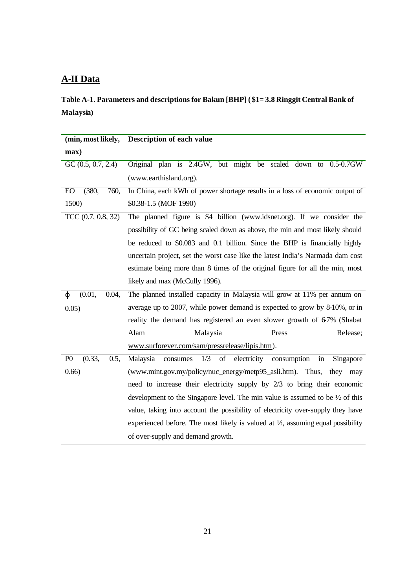### **A-II Data**

**Table A-1. Parameters and descriptions for Bakun [BHP] ( \$1= 3.8 Ringgit Central Bank of Malaysia)**

| (min, most likely,               | Description of each value                                                                   |  |  |
|----------------------------------|---------------------------------------------------------------------------------------------|--|--|
| max)                             |                                                                                             |  |  |
| $GC$ $(0.5, 0.7, 2.4)$           | Original plan is 2.4GW, but might be scaled down to 0.5-0.7GW                               |  |  |
|                                  | (www.earthisland.org).                                                                      |  |  |
| EO<br>(380,<br>760,              | In China, each kWh of power shortage results in a loss of economic output of                |  |  |
| 1500)                            | \$0.38-1.5 (MOF 1990)                                                                       |  |  |
| TCC $(0.7, 0.8, 32)$             | The planned figure is \$4 billion (www.idsnet.org). If we consider the                      |  |  |
|                                  | possibility of GC being scaled down as above, the min and most likely should                |  |  |
|                                  | be reduced to \$0.083 and 0.1 billion. Since the BHP is financially highly                  |  |  |
|                                  | uncertain project, set the worst case like the latest India's Narmada dam cost              |  |  |
|                                  | estimate being more than 8 times of the original figure for all the min, most               |  |  |
|                                  | likely and max (McCully 1996).                                                              |  |  |
| (0.01,<br>0.04,<br>$\varphi$     | The planned installed capacity in Malaysia will grow at 11% per annum on                    |  |  |
| 0.05)                            | average up to 2007, while power demand is expected to grow by 8-10%, or in                  |  |  |
|                                  | reality the demand has registered an even slower growth of 67% (Shabat                      |  |  |
|                                  | Alam<br>Malaysia<br>Release;<br>Press                                                       |  |  |
|                                  | www.surforever.com/sam/pressrelease/lipis.htm).                                             |  |  |
| (0.33,<br>P <sub>0</sub><br>0.5, | 1/3<br>of electricity consumption<br>Malaysia<br>consumes<br>Singapore<br>in                |  |  |
| 0.66)                            | (www.mint.gov.my/policy/nuc_energy/metp95_asli.htm). Thus, they may                         |  |  |
|                                  | need to increase their electricity supply by $2/3$ to bring their economic                  |  |  |
|                                  | development to the Singapore level. The min value is assumed to be $\frac{1}{2}$ of this    |  |  |
|                                  | value, taking into account the possibility of electricity over-supply they have             |  |  |
|                                  | experienced before. The most likely is valued at $\frac{1}{2}$ , assuming equal possibility |  |  |
|                                  | of over-supply and demand growth.                                                           |  |  |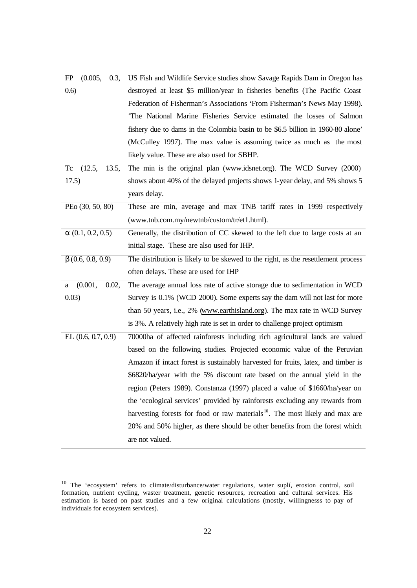| (0.005,<br>FP<br>0.3,    | US Fish and Wildlife Service studies show Savage Rapids Dam in Oregon has                |
|--------------------------|------------------------------------------------------------------------------------------|
| (0.6)                    | destroyed at least \$5 million/year in fisheries benefits (The Pacific Coast             |
|                          | Federation of Fisherman's Associations 'From Fisherman's News May 1998).                 |
|                          | 'The National Marine Fisheries Service estimated the losses of Salmon                    |
|                          | fishery due to dams in the Colombia basin to be \$6.5 billion in 1960-80 alone'          |
|                          | (McCulley 1997). The max value is assuming twice as much as the most                     |
|                          | likely value. These are also used for SBHP.                                              |
| (12.5,<br>Tc<br>13.5,    | The min is the original plan (www.idsnet.org). The WCD Survey (2000)                     |
| 17.5)                    | shows about 40% of the delayed projects shows 1-year delay, and 5% shows 5               |
|                          | years delay.                                                                             |
| PEo (30, 50, 80)         | These are min, average and max TNB tariff rates in 1999 respectively                     |
|                          | (www.tnb.com.my/newtnb/custom/tr/et1.html).                                              |
| $\alpha$ (0.1, 0.2, 0.5) | Generally, the distribution of CC skewed to the left due to large costs at an            |
|                          | initial stage. These are also used for IHP.                                              |
| $\beta$ (0.6, 0.8, 0.9)  | The distribution is likely to be skewed to the right, as the resettlement process        |
|                          | often delays. These are used for IHP                                                     |
| (0.001,<br>0.02,<br>a    | The average annual loss rate of active storage due to sedimentation in WCD               |
| 0.03)                    | Survey is 0.1% (WCD 2000). Some experts say the dam will not last for more               |
|                          | than 50 years, i.e., 2% (www.earthisland.org). The max rate in WCD Survey                |
|                          | is 3%. A relatively high rate is set in order to challenge project optimism              |
| EL $(0.6, 0.7, 0.9)$     | 70000ha of affected rainforests including rich agricultural lands are valued             |
|                          | based on the following studies. Projected economic value of the Peruvian                 |
|                          | Amazon if intact forest is sustainably harvested for fruits, latex, and timber is        |
|                          | \$6820/ha/year with the 5% discount rate based on the annual yield in the                |
|                          | region (Peters 1989). Constanza (1997) placed a value of \$1660/ha/year on               |
|                          | the 'ecological services' provided by rainforests excluding any rewards from             |
|                          | harvesting forests for food or raw materials <sup>10</sup> . The most likely and max are |
|                          | 20% and 50% higher, as there should be other benefits from the forest which              |
|                          | are not valued.                                                                          |

 $10$  The 'ecosystem' refers to climate/disturbance/water regulations, water suplí, erosion control, soil formation, nutrient cycling, waster treatment, genetic resources, recreation and cultural services. His estimation is based on past studies and a few original calculations (mostly, willingnesss to pay of individuals for ecosystem services).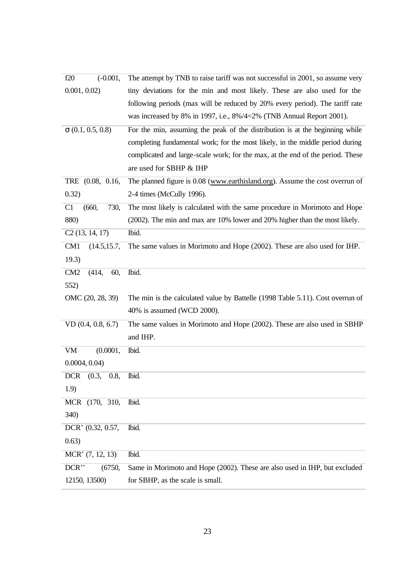| $(-0.001,$<br>f20               | The attempt by TNB to raise tariff was not successful in 2001, so assume very  |
|---------------------------------|--------------------------------------------------------------------------------|
| 0.001, 0.02                     | tiny deviations for the min and most likely. These are also used for the       |
|                                 | following periods (max will be reduced by 20% every period). The tariff rate   |
|                                 | was increased by 8% in 1997, i.e., $8\%/4=2\%$ (TNB Annual Report 2001).       |
| $\sigma$ (0.1, 0.5, 0.8)        | For the min, assuming the peak of the distribution is at the beginning while   |
|                                 | completing fundamental work; for the most likely, in the middle period during  |
|                                 | complicated and large-scale work; for the max, at the end of the period. These |
|                                 | are used for SBHP & IHP                                                        |
| TRE $(0.08, 0.16,$              | The planned figure is 0.08 (www.earthisland.org). Assume the cost overrun of   |
| 0.32)                           | 2-4 times (McCully 1996).                                                      |
| C1<br>(660,<br>730,             | The most likely is calculated with the same procedure in Morimoto and Hope     |
| 880)                            | (2002). The min and max are 10% lower and 20% higher than the most likely.     |
| C2(13, 14, 17)                  | Ibid.                                                                          |
| CM <sub>1</sub><br>(14.5, 15.7, | The same values in Morimoto and Hope (2002). These are also used for IHP.      |
| 19.3)                           |                                                                                |
| CM2<br>60,<br>(414,             | Ibid.                                                                          |
| 552)                            |                                                                                |
| OMC (20, 28, 39)                | The min is the calculated value by Battelle (1998 Table 5.11). Cost overrun of |
|                                 | 40% is assumed (WCD 2000).                                                     |
| $VD$ $(0.4, 0.8, 6.7)$          | The same values in Morimoto and Hope (2002). These are also used in SBHP       |
|                                 | and IHP.                                                                       |
| <b>VM</b><br>(0.0001,           | Ibid.                                                                          |
| 0.0004, 0.04                    |                                                                                |
| <b>DCR</b><br>(0.3,<br>0.8,     | Ibid.                                                                          |
| 1.9)                            |                                                                                |
| MCR (170, 310,                  | Ibid.                                                                          |
| 340)                            |                                                                                |
| DCR' (0.32, 0.57,               | Ibid.                                                                          |
| 0.63)                           |                                                                                |
| MCR' (7, 12, 13)                | Ibid.                                                                          |
| $DCR$ "<br>(6750,               | Same in Morimoto and Hope (2002). These are also used in IHP, but excluded     |
| 12150, 13500)                   | for SBHP, as the scale is small.                                               |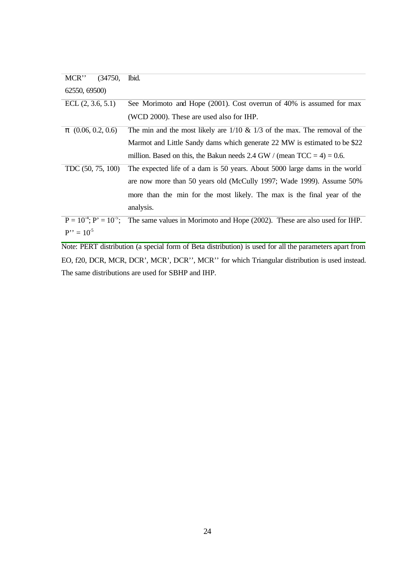| MCR"                   | (34750, | Ibid.                                                                                                      |
|------------------------|---------|------------------------------------------------------------------------------------------------------------|
| 62550, 69500)          |         |                                                                                                            |
| ECL $(2, 3.6, 5.1)$    |         | See Morimoto and Hope (2001). Cost overrun of 40% is assumed for max                                       |
|                        |         | (WCD 2000). These are used also for IHP.                                                                   |
| $\pi$ (0.06, 0.2, 0.6) |         | The min and the most likely are $1/10 \& 1/3$ of the max. The removal of the                               |
|                        |         | Marmot and Little Sandy dams which generate 22 MW is estimated to be \$22                                  |
|                        |         | million. Based on this, the Bakun needs 2.4 GW / (mean $TCC = 4$ ) = 0.6.                                  |
| TDC $(50, 75, 100)$    |         | The expected life of a dam is 50 years. About 5000 large dams in the world                                 |
|                        |         | are now more than 50 years old (McCully 1997; Wade 1999). Assume 50%                                       |
|                        |         | more than the min for the most likely. The max is the final year of the                                    |
|                        |         | analysis.                                                                                                  |
|                        |         | $P = 10^{-4}$ ; $P' = 10^{-5}$ ; The same values in Morimoto and Hope (2002). These are also used for IHP. |
| $P'' = 10^5$           |         |                                                                                                            |

Note: PERT distribution (a special form of Beta distribution) is used for all the parameters apart from EO, f20, DCR, MCR, DCR', MCR', DCR'', MCR'' for which Triangular distribution is used instead. The same distributions are used for SBHP and IHP.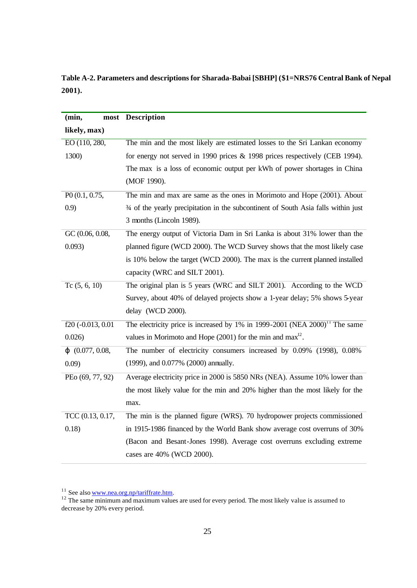**Table A-2. Parameters and descriptions for Sharada-Babai [SBHP] (\$1=NRS76 Central Bank of Nepal 2001).** 

| (min,                      | most Description                                                                           |
|----------------------------|--------------------------------------------------------------------------------------------|
| likely, max)               |                                                                                            |
| EO (110, 280,              | The min and the most likely are estimated losses to the Sri Lankan economy                 |
| 1300)                      | for energy not served in 1990 prices & 1998 prices respectively (CEB 1994).                |
|                            | The max is a loss of economic output per kWh of power shortages in China                   |
|                            | (MOF 1990).                                                                                |
| P <sub>0</sub> (0.1, 0.75, | The min and max are same as the ones in Morimoto and Hope (2001). About                    |
| (0.9)                      | 3⁄4 of the yearly precipitation in the subcontinent of South Asia falls within just        |
|                            | 3 months (Lincoln 1989).                                                                   |
| GC (0.06, 0.08,            | The energy output of Victoria Dam in Sri Lanka is about 31% lower than the                 |
| 0.093)                     | planned figure (WCD 2000). The WCD Survey shows that the most likely case                  |
|                            | is 10% below the target (WCD 2000). The max is the current planned installed               |
|                            | capacity (WRC and SILT 2001).                                                              |
| Tc $(5, 6, 10)$            | The original plan is 5 years (WRC and SILT 2001). According to the WCD                     |
|                            | Survey, about 40% of delayed projects show a 1-year delay; 5% shows 5-year                 |
|                            | delay (WCD 2000).                                                                          |
| $f20$ (-0.013, 0.01        | The electricity price is increased by $1\%$ in 1999-2001 (NEA 2000) <sup>11</sup> The same |
| 0.026                      | values in Morimoto and Hope $(2001)$ for the min and max <sup>12</sup> .                   |
| $\varphi$ (0.077, 0.08,    | The number of electricity consumers increased by 0.09% (1998), 0.08%                       |
| 0.09)                      | (1999), and 0.077% (2000) annually.                                                        |
| PEo (69, 77, 92)           | Average electricity price in 2000 is 5850 NRs (NEA). Assume 10% lower than                 |
|                            | the most likely value for the min and 20% higher than the most likely for the              |
|                            | max.                                                                                       |
| TCC (0.13, 0.17,           | The min is the planned figure (WRS). 70 hydropower projects commissioned                   |
| 0.18)                      | in 1915-1986 financed by the World Bank show average cost overruns of 30%                  |
|                            | (Bacon and Besant-Jones 1998). Average cost overruns excluding extreme                     |
|                            | cases are 40% (WCD 2000).                                                                  |

<sup>&</sup>lt;sup>11</sup> See also <u>www.nea.org.np/tariffrate.htm</u>.

<sup>&</sup>lt;sup>12</sup> The same minimum and maximum values are used for every period. The most likely value is assumed to decrease by 20% every period.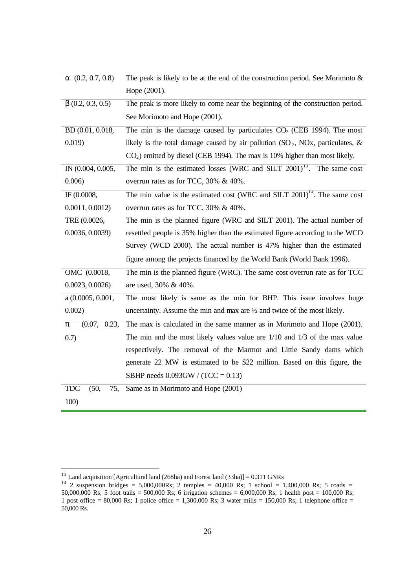| $\alpha$ (0.2, 0.7, 0.8)  | The peak is likely to be at the end of the construction period. See Morimoto $\&$        |
|---------------------------|------------------------------------------------------------------------------------------|
|                           | Hope (2001).                                                                             |
| $\beta$ (0.2, 0.3, 0.5)   | The peak is more likely to come near the beginning of the construction period.           |
|                           | See Morimoto and Hope (2001).                                                            |
| BD (0.01, 0.018,          | The min is the damage caused by particulates $CO2$ (CEB 1994). The most                  |
| 0.019)                    | likely is the total damage caused by air pollution $(SO_2, NOx,$ particulates, &         |
|                           | $CO2$ ) emitted by diesel (CEB 1994). The max is 10% higher than most likely.            |
| IN (0.004, 0.005,         | The min is the estimated losses (WRC and SILT $2001$ ) <sup>13</sup> . The same cost     |
| 0.006)                    | overrun rates as for TCC, 30% & 40%.                                                     |
| IF (0.0008,               | The min value is the estimated cost (WRC and SILT $2001$ ) <sup>14</sup> . The same cost |
| 0.0011, 0.0012            | overrun rates as for TCC, 30% & 40%.                                                     |
| TRE (0.0026,              | The min is the planned figure (WRC and SILT 2001). The actual number of                  |
| 0.0036, 0.0039            | resettled people is 35% higher than the estimated figure according to the WCD            |
|                           | Survey (WCD 2000). The actual number is 47% higher than the estimated                    |
|                           | figure among the projects financed by the World Bank (World Bank 1996).                  |
| OMC (0.0018,              | The min is the planned figure (WRC). The same cost overrun rate as for TCC               |
| 0.0023, 0.0026            | are used, 30% & 40%.                                                                     |
| a (0.0005, 0.001,         | The most likely is same as the min for BHP. This issue involves huge                     |
| 0.002)                    | uncertainty. Assume the min and max are $\frac{1}{2}$ and twice of the most likely.      |
| (0.07, 0.23,<br>π         | The max is calculated in the same manner as in Morimoto and Hope (2001).                 |
| 0.7)                      | The min and the most likely values value are $1/10$ and $1/3$ of the max value           |
|                           | respectively. The removal of the Marmot and Little Sandy dams which                      |
|                           | generate 22 MW is estimated to be \$22 million. Based on this figure, the                |
|                           | SBHP needs $0.093$ GW / (TCC = 0.13)                                                     |
| <b>TDC</b><br>(50,<br>75, | Same as in Morimoto and Hope (2001)                                                      |
| 100)                      |                                                                                          |

 $\overline{a}$ 

<sup>&</sup>lt;sup>13</sup> Land acquisition [Agricultural land (268ha) and Forest land (33ha)] =  $0.311$  GNRs

<sup>&</sup>lt;sup>14</sup> 2 suspension bridges = 5,000,000Rs; 2 temples = 40,000 Rs; 1 school = 1,400,000 Rs; 5 roads = 50,000,000 Rs; 5 foot trails = 500,000 Rs; 6 irrigation schemes = 6,000,000 Rs; 1 health post = 100,000 Rs; 1 post office =  $80,000$  Rs; 1 police office = 1,300,000 Rs; 3 water mills = 150,000 Rs; 1 telephone office = 50,000 Rs.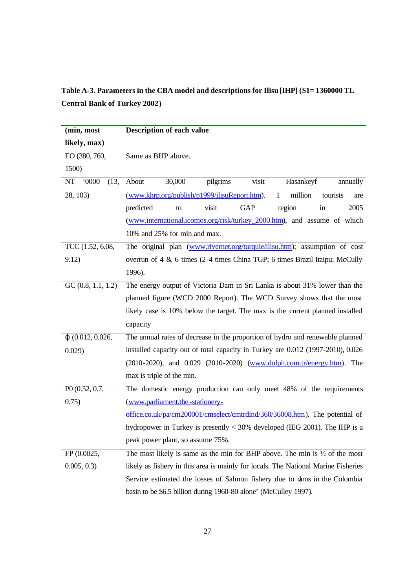### **Table A-3. Parameters in the CBA model and descriptions for Ilisu [IHP] (\$1= 1360000 TL Central Bank of Turkey 2002)**

| (min, most               | <b>Description of each value</b>                                                       |
|--------------------------|----------------------------------------------------------------------------------------|
| likely, max)             |                                                                                        |
| EO (380, 760,            | Same as BHP above.                                                                     |
| 1500)                    |                                                                                        |
| NT<br>0000<br>(13,       | pilgrims<br>About<br>visit<br>Hasankeyf<br>30,000<br>annually                          |
| 28, 103)                 | (www.khrp.org/publish/p1999/ilisuReport.htm).<br>million<br>tourists<br>1<br>are       |
|                          | visit<br><b>GAP</b><br>region<br>predicted<br>in<br>2005<br>to                         |
|                          | (www.international.icomos.org/risk/turkey_2000.htm), and assume of which               |
|                          | 10% and 25% for min and max.                                                           |
| TCC (1.52, 6.08,         | The original plan (www.rivernet.org/turquie/ilisu.htm); assumption of cost             |
| 9.12)                    | overrun of 4 & 6 times (2-4 times China TGP; 6 times Brazil Itaipu; McCully            |
|                          | 1996).                                                                                 |
| GC(0.8, 1.1, 1.2)        | The energy output of Victoria Dam in Sri Lanka is about 31% lower than the             |
|                          | planned figure (WCD 2000 Report). The WCD Survey shows that the most                   |
|                          | likely case is 10% below the target. The max is the current planned installed          |
|                          | capacity                                                                               |
| $\varphi$ (0.012, 0.026, | The annual rates of decrease in the proportion of hydro and renewable planned          |
| 0.029)                   | installed capacity out of total capacity in Turkey are 0.012 (1997-2010), 0.026        |
|                          | (2010-2020), and 0.029 (2010-2020) (www.dolph.com.tr/energy.htm). The                  |
|                          | max is triple of the min.                                                              |
| P0 (0.52, 0.7,           | The domestic energy production can only meet 48% of the requirements                   |
| 0.75)                    | (www.parliament.the-stationery-                                                        |
|                          | office.co.uk/pa/cm200001/cmselect/cmtrdind/360/36008.htm). The potential of            |
|                          | hydropower in Turkey is presently $<$ 30% developed (IEG 2001). The IHP is a           |
|                          | peak power plant, so assume 75%.                                                       |
| FP (0.0025,              | The most likely is same as the min for BHP above. The min is $\frac{1}{2}$ of the most |
| 0.005, 0.3               | likely as fishery in this area is mainly for locals. The National Marine Fisheries     |
|                          | Service estimated the losses of Salmon fishery due to dams in the Colombia             |
|                          | basin to be \$6.5 billion during 1960-80 alone' (McCulley 1997).                       |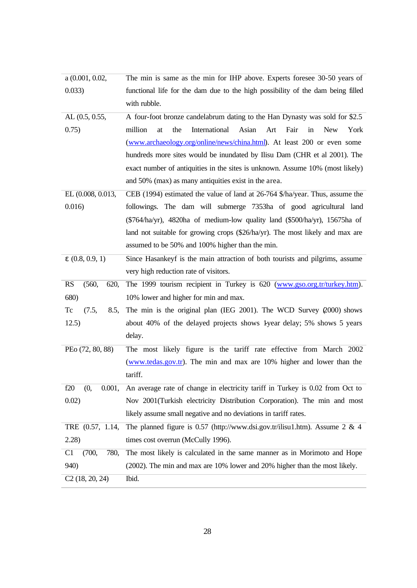| a (0.001, 0.02,            | The min is same as the min for IHP above. Experts foresee 30-50 years of                  |
|----------------------------|-------------------------------------------------------------------------------------------|
| 0.033)                     | functional life for the dam due to the high possibility of the dam being filled           |
|                            | with rubble.                                                                              |
| AL(0.5, 0.55,              | A four-foot bronze candelabrum dating to the Han Dynasty was sold for \$2.5               |
| 0.75)                      | the<br>International<br>Asian<br>Art<br>Fair<br>million<br>in<br><b>New</b><br>at<br>York |
|                            | (www.archaeology.org/online/news/china.html). At least 200 or even some                   |
|                            | hundreds more sites would be inundated by Ilisu Dam (CHR et al 2001). The                 |
|                            | exact number of antiquities in the sites is unknown. Assume 10% (most likely)             |
|                            | and 50% (max) as many antiquities exist in the area.                                      |
| EL (0.008, 0.013,          | CEB (1994) estimated the value of land at 26-764 \$/ha/year. Thus, assume the             |
| 0.016)                     | followings. The dam will submerge 7353ha of good agricultural land                        |
|                            | $(\$764/ha/yr)$ , 4820ha of medium-low quality land $(\$500/ha/yr)$ , 15675ha of          |
|                            | land not suitable for growing crops (\$26/ha/yr). The most likely and max are             |
|                            | assumed to be 50% and 100% higher than the min.                                           |
| $\epsilon$ (0.8, 0.9, 1)   | Since Hasankeyf is the main attraction of both tourists and pilgrims, assume              |
|                            | very high reduction rate of visitors.                                                     |
| <b>RS</b><br>(560,<br>620, | The 1999 tourism recipient in Turkey is 620 (www.gso.org.tr/turkey.htm).                  |
| 680)                       | 10% lower and higher for min and max.                                                     |
| Tc<br>(7.5,<br>8.5,        | The min is the original plan (IEG 2001). The WCD Survey $(2000)$ shows                    |
| 12.5)                      | about 40% of the delayed projects shows 1 year delay; 5% shows 5 years                    |
|                            | delay.                                                                                    |
| PEo (72, 80, 88)           | The most likely figure is the tariff rate effective from March 2002                       |
|                            | (www.tedas.gov.tr). The min and max are 10% higher and lower than the                     |
|                            | tariff.                                                                                   |
| f20<br>0.001,<br>(0,       | An average rate of change in electricity tariff in Turkey is 0.02 from Oct to             |
| 0.02)                      | Nov 2001 (Turkish electricity Distribution Corporation). The min and most                 |
|                            | likely assume small negative and no deviations in tariff rates.                           |
| TRE $(0.57, 1.14,$         | The planned figure is 0.57 (http://www.dsi.gov.tr/ilisu1.htm). Assume 2 & 4               |
| 2.28)                      | times cost overrun (McCully 1996).                                                        |
| C1<br>(700,<br>780,        | The most likely is calculated in the same manner as in Morimoto and Hope                  |
| 940)                       | (2002). The min and max are 10% lower and 20% higher than the most likely.                |
| C2(18, 20, 24)             | Ibid.                                                                                     |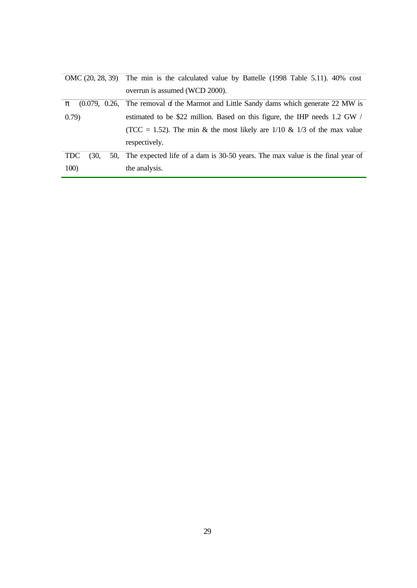|                       | OMC (20, 28, 39) The min is the calculated value by Battelle (1998 Table 5.11). 40% cost |
|-----------------------|------------------------------------------------------------------------------------------|
|                       | overrun is assumed (WCD 2000).                                                           |
| π                     | $(0.079, 0.26,$ The removal of the Marmot and Little Sandy dams which generate 22 MW is  |
| 0.79)                 | estimated to be \$22 million. Based on this figure, the IHP needs 1.2 GW /               |
|                       | (TCC = 1.52). The min & the most likely are $1/10$ & $1/3$ of the max value              |
|                       | respectively.                                                                            |
| <b>TDC</b><br>(30, 1) | 50, The expected life of a dam is 30-50 years. The max value is the final year of        |
| 100)                  | the analysis.                                                                            |
|                       |                                                                                          |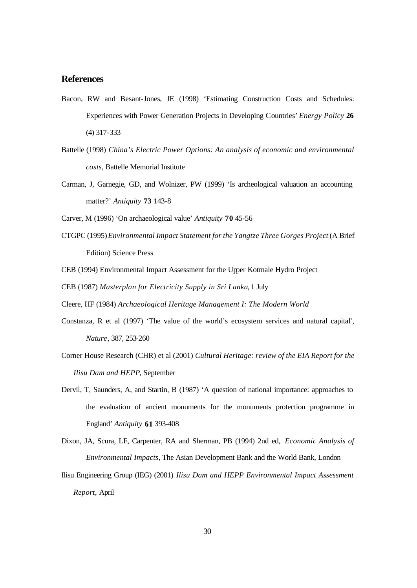#### **References**

- Bacon, RW and Besant-Jones, JE (1998) 'Estimating Construction Costs and Schedules: Experiences with Power Generation Projects in Developing Countries' *Energy Policy* **26** (4) 317-333
- Battelle (1998) *China's Electric Power Options: An analysis of economic and environmental costs*, Battelle Memorial Institute
- Carman, J, Garnegie, GD, and Wolnizer, PW (1999) 'Is archeological valuation an accounting matter?' *Antiquity* **73** 143-8

Carver, M (1996) 'On archaeological value' *Antiquity* **70** 45-56

- CTGPC (1995) *Environmental Impact Statement for the Yangtze Three Gorges Project* (A Brief Edition) Science Press
- CEB (1994) Environmental Impact Assessment for the Upper Kotmale Hydro Project
- CEB (1987) *Masterplan for Electricity Supply in Sri Lanka*, 1 July
- Cleere, HF (1984) *Archaeological Heritage Management I: The Modern World*
- Constanza, R et al (1997) 'The value of the world's ecosystem services and natural capital', *Nature*, 387, 253-260
- Corner House Research (CHR) et al (2001) *Cultural Heritage: review of the EIA Report for the Ilisu Dam and HEPP*, September
- Dervil, T, Saunders, A, and Startin, B (1987) 'A question of national importance: approaches to the evaluation of ancient monuments for the monuments protection programme in England' *Antiquity* **61** 393-408
- Dixon, JA, Scura, LF, Carpenter, RA and Sherman, PB (1994) 2nd ed, *Economic Analysis of Environmental Impacts*, The Asian Development Bank and the World Bank, London

Ilisu Engineering Group (IEG) (2001) *Ilisu Dam and HEPP Environmental Impact Assessment Report,* April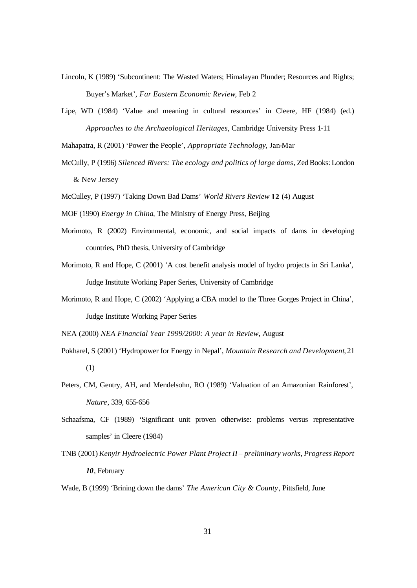- Lincoln, K (1989) 'Subcontinent: The Wasted Waters; Himalayan Plunder; Resources and Rights; Buyer's Market', *Far Eastern Economic Review*, Feb 2
- Lipe, WD (1984) 'Value and meaning in cultural resources' in Cleere, HF (1984) (ed.) *Approaches to the Archaeological Heritages*, Cambridge University Press 1-11
- Mahapatra, R (2001) 'Power the People', *Appropriate Technology*, Jan-Mar
- McCully, P (1996) *Silenced Rivers: The ecology and politics of large dams*, Zed Books: London & New Jersey
- McCulley, P (1997) 'Taking Down Bad Dams' *World Rivers Review* **12** (4) August
- MOF (1990) *Energy in China*, The Ministry of Energy Press, Beijing
- Morimoto, R (2002) Environmental, economic, and social impacts of dams in developing countries, PhD thesis, University of Cambridge
- Morimoto, R and Hope, C (2001) 'A cost benefit analysis model of hydro projects in Sri Lanka', Judge Institute Working Paper Series, University of Cambridge
- Morimoto, R and Hope, C (2002) 'Applying a CBA model to the Three Gorges Project in China', Judge Institute Working Paper Series

NEA (2000) *NEA Financial Year 1999/2000: A year in Review*, August

- Pokharel, S (2001) 'Hydropower for Energy in Nepal', *Mountain Research and Development*, 21 (1)
- Peters, CM, Gentry, AH, and Mendelsohn, RO (1989) 'Valuation of an Amazonian Rainforest', *Nature*, 339, 655-656
- Schaafsma, CF (1989) 'Significant unit proven otherwise: problems versus representative samples' in Cleere (1984)
- TNB (2001) *Kenyir Hydroelectric Power Plant Project II preliminary works, Progress Report 10*, February

Wade, B (1999) 'Brining down the dams' *The American City & County*, Pittsfield, June